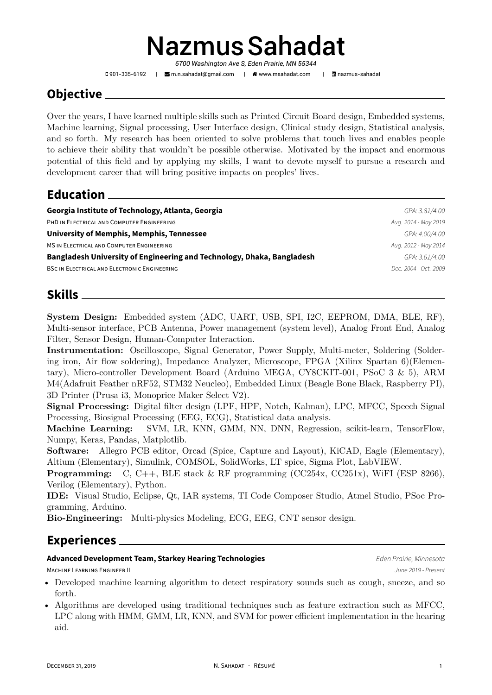# NazmusSahadat

*6700 Washington Ave S, Eden Prairie, MN 55344*

901-335-6192 | [m.n.sahadat@gmail.com](mailto:m.n.sahadat@gmail.com) | [www.msahadat.com](http://www.msahadat.com) | [nazmus-sahadat](https://www.linkedin.com/in/nazmus-sahadat)

# **Objective**

Over the years, I have learned multiple skills such as Printed Circuit Board design, Embedded systems, Machine learning, Signal processing, User Interface design, Clinical study design, Statistical analysis, and so forth. My research has been oriented to solve problems that touch lives and enables people to achieve their ability that wouldn't be possible otherwise. Motivated by the impact and enormous potential of this field and by applying my skills, I want to devote myself to pursue a research and development career that will bring positive impacts on peoples' lives.

## **Education**

| Georgia Institute of Technology, Atlanta, Georgia                      | GPA: 3.81/4.00        |
|------------------------------------------------------------------------|-----------------------|
| PHD IN ELECTRICAL AND COMPUTER ENGINEERING                             | Aug. 2014 - May 2019  |
| University of Memphis, Memphis, Tennessee                              | GPA: 4.00/4.00        |
| <b>MS IN ELECTRICAL AND COMPUTER ENGINEERING</b>                       | Aug. 2012 - May 2014  |
| Bangladesh University of Engineering and Technology, Dhaka, Bangladesh | GPA: 3.61/4.00        |
| <b>BSC IN ELECTRICAL AND ELECTRONIC ENGINEERING</b>                    | Dec. 2004 - Oct. 2009 |
|                                                                        |                       |

## **Skills**

**System Design:** Embedded system (ADC, UART, USB, SPI, I2C, EEPROM, DMA, BLE, RF), Multi-sensor interface, PCB Antenna, Power management (system level), Analog Front End, Analog Filter, Sensor Design, Human-Computer Interaction.

**Instrumentation:** Oscilloscope, Signal Generator, Power Supply, Multi-meter, Soldering (Soldering iron, Air flow soldering), Impedance Analyzer, Microscope, FPGA (Xilinx Spartan 6)(Elementary), Micro-controller Development Board (Arduino MEGA, CY8CKIT-001, PSoC 3 & 5), ARM M4(Adafruit Feather nRF52, STM32 Neucleo), Embedded Linux (Beagle Bone Black, Raspberry PI), 3D Printer (Prusa i3, Monoprice Maker Select V2).

**Signal Processing:** Digital filter design (LPF, HPF, Notch, Kalman), LPC, MFCC, Speech Signal Processing, Biosignal Processing (EEG, ECG), Statistical data analysis.

**Machine Learning:** SVM, LR, KNN, GMM, NN, DNN, Regression, scikit-learn, TensorFlow, Numpy, Keras, Pandas, Matplotlib.

**Software:** Allegro PCB editor, Orcad (Spice, Capture and Layout), KiCAD, Eagle (Elementary), Altium (Elementary), Simulink, COMSOL, SolidWorks, LT spice, Sigma Plot, LabVIEW.

**Programming:** C, C++, BLE stack & RF programming (CC254x, CC251x), WiFI (ESP 8266), Verilog (Elementary), Python.

**IDE:** Visual Studio, Eclipse, Qt, IAR systems, TI Code Composer Studio, Atmel Studio, PSoc Programming, Arduino.

**Bio-Engineering:** Multi-physics Modeling, ECG, EEG, CNT sensor design.

# **Experiences**

#### **Advanced Development Team, Starkey Hearing Technologies** *Eden Prairie, Minnesota*

MACHINE LEARNING ENGINEER II *June 2019 - Present*

- Developed machine learning algorithm to detect respiratory sounds such as cough, sneeze, and so forth.
- Algorithms are developed using traditional techniques such as feature extraction such as MFCC, LPC along with HMM, GMM, LR, KNN, and SVM for power efficient implementation in the hearing aid.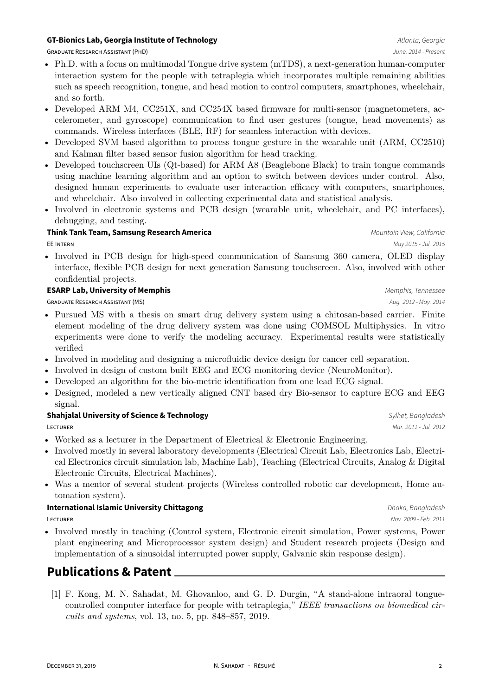#### **GT-Bionics Lab, Georgia Institute of Technology** *Atlanta, Georgia**Atlanta, Georgia*

GRADUATE RESEARCH ASSISTANT (PHD) *June. 2014 - Present*

- Ph.D. with a focus on multimodal Tongue drive system (mTDS), a next-generation human-computer interaction system for the people with tetraplegia which incorporates multiple remaining abilities such as speech recognition, tongue, and head motion to control computers, smartphones, wheelchair, and so forth.
- Developed ARM M4, CC251X, and CC254X based firmware for multi-sensor (magnetometers, accelerometer, and gyroscope) communication to find user gestures (tongue, head movements) as commands. Wireless interfaces (BLE, RF) for seamless interaction with devices.
- Developed SVM based algorithm to process tongue gesture in the wearable unit (ARM, CC2510) and Kalman filter based sensor fusion algorithm for head tracking.
- Developed touchscreen UIs (Qt-based) for ARM A8 (Beaglebone Black) to train tongue commands using machine learning algorithm and an option to switch between devices under control. Also, designed human experiments to evaluate user interaction efficacy with computers, smartphones, and wheelchair. Also involved in collecting experimental data and statistical analysis.
- Involved in electronic systems and PCB design (wearable unit, wheelchair, and PC interfaces), debugging, and testing.

#### **Think Tank Team, Samsung Research America** *Mountain View, California*

EE INTERN *May 2015 - Jul. 2015*

• Involved in PCB design for high-speed communication of Samsung 360 camera, OLED display interface, flexible PCB design for next generation Samsung touchscreen. Also, involved with other confidential projects.

#### **ESARP Lab, University of Memphis** *Memphis, Tennessee*

GRADUATE RESEARCH ASSISTANT (MS) *Aug. 2012 - May. 2014*

- Pursued MS with a thesis on smart drug delivery system using a chitosan-based carrier. Finite element modeling of the drug delivery system was done using COMSOL Multiphysics. In vitro experiments were done to verify the modeling accuracy. Experimental results were statistically verified
- Involved in modeling and designing a microfluidic device design for cancer cell separation.
- Involved in design of custom built EEG and ECG monitoring device (NeuroMonitor).
- Developed an algorithm for the bio-metric identification from one lead ECG signal.
- Designed, modeled a new vertically aligned CNT based dry Bio-sensor to capture ECG and EEG signal.

#### **Shahjalal University of Science & Technology** *Sylhet, Bangladesh*

LECTURER *Mar. 2011 - Jul. 2012*

- Worked as a lecturer in the Department of Electrical & Electronic Engineering.
- Involved mostly in several laboratory developments (Electrical Circuit Lab, Electronics Lab, Electrical Electronics circuit simulation lab, Machine Lab), Teaching (Electrical Circuits, Analog & Digital Electronic Circuits, Electrical Machines).
- Was a mentor of several student projects (Wireless controlled robotic car development, Home automation system).

#### **International Islamic University Chittagong** *Dhaka, Bangladesh**Dhaka, Bangladesh*

• Involved mostly in teaching (Control system, Electronic circuit simulation, Power systems, Power plant engineering and Microprocessor system design) and Student research projects (Design and implementation of a sinusoidal interrupted power supply, Galvanic skin response design).

## **Publications & Patent**

[1] F. Kong, M. N. Sahadat, M. Ghovanloo, and G. D. Durgin, "A stand-alone intraoral tonguecontrolled computer interface for people with tetraplegia," *IEEE transactions on biomedical circuits and systems*, vol. 13, no. 5, pp. 848–857, 2019.

LECTURER *Nov. 2009 - Feb. 2011*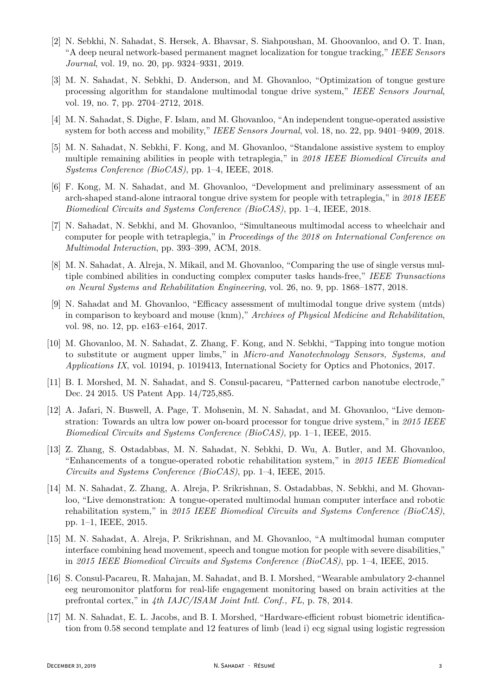- [2] N. Sebkhi, N. Sahadat, S. Hersek, A. Bhavsar, S. Siahpoushan, M. Ghoovanloo, and O. T. Inan, "A deep neural network-based permanent magnet localization for tongue tracking," *IEEE Sensors Journal*, vol. 19, no. 20, pp. 9324–9331, 2019.
- [3] M. N. Sahadat, N. Sebkhi, D. Anderson, and M. Ghovanloo, "Optimization of tongue gesture processing algorithm for standalone multimodal tongue drive system," *IEEE Sensors Journal*, vol. 19, no. 7, pp. 2704–2712, 2018.
- [4] M. N. Sahadat, S. Dighe, F. Islam, and M. Ghovanloo, "An independent tongue-operated assistive system for both access and mobility," *IEEE Sensors Journal*, vol. 18, no. 22, pp. 9401–9409, 2018.
- [5] M. N. Sahadat, N. Sebkhi, F. Kong, and M. Ghovanloo, "Standalone assistive system to employ multiple remaining abilities in people with tetraplegia," in *2018 IEEE Biomedical Circuits and Systems Conference (BioCAS)*, pp. 1–4, IEEE, 2018.
- [6] F. Kong, M. N. Sahadat, and M. Ghovanloo, "Development and preliminary assessment of an arch-shaped stand-alone intraoral tongue drive system for people with tetraplegia," in *2018 IEEE Biomedical Circuits and Systems Conference (BioCAS)*, pp. 1–4, IEEE, 2018.
- [7] N. Sahadat, N. Sebkhi, and M. Ghovanloo, "Simultaneous multimodal access to wheelchair and computer for people with tetraplegia," in *Proceedings of the 2018 on International Conference on Multimodal Interaction*, pp. 393–399, ACM, 2018.
- [8] M. N. Sahadat, A. Alreja, N. Mikail, and M. Ghovanloo, "Comparing the use of single versus multiple combined abilities in conducting complex computer tasks hands-free," *IEEE Transactions on Neural Systems and Rehabilitation Engineering*, vol. 26, no. 9, pp. 1868–1877, 2018.
- [9] N. Sahadat and M. Ghovanloo, "Efficacy assessment of multimodal tongue drive system (mtds) in comparison to keyboard and mouse (knm)," *Archives of Physical Medicine and Rehabilitation*, vol. 98, no. 12, pp. e163–e164, 2017.
- [10] M. Ghovanloo, M. N. Sahadat, Z. Zhang, F. Kong, and N. Sebkhi, "Tapping into tongue motion to substitute or augment upper limbs," in *Micro-and Nanotechnology Sensors, Systems, and Applications IX*, vol. 10194, p. 1019413, International Society for Optics and Photonics, 2017.
- [11] B. I. Morshed, M. N. Sahadat, and S. Consul-pacareu, "Patterned carbon nanotube electrode," Dec. 24 2015. US Patent App. 14/725,885.
- [12] A. Jafari, N. Buswell, A. Page, T. Mohsenin, M. N. Sahadat, and M. Ghovanloo, "Live demonstration: Towards an ultra low power on-board processor for tongue drive system," in *2015 IEEE Biomedical Circuits and Systems Conference (BioCAS)*, pp. 1–1, IEEE, 2015.
- [13] Z. Zhang, S. Ostadabbas, M. N. Sahadat, N. Sebkhi, D. Wu, A. Butler, and M. Ghovanloo, "Enhancements of a tongue-operated robotic rehabilitation system," in *2015 IEEE Biomedical Circuits and Systems Conference (BioCAS)*, pp. 1–4, IEEE, 2015.
- [14] M. N. Sahadat, Z. Zhang, A. Alreja, P. Srikrishnan, S. Ostadabbas, N. Sebkhi, and M. Ghovanloo, "Live demonstration: A tongue-operated multimodal human computer interface and robotic rehabilitation system," in *2015 IEEE Biomedical Circuits and Systems Conference (BioCAS)*, pp. 1–1, IEEE, 2015.
- [15] M. N. Sahadat, A. Alreja, P. Srikrishnan, and M. Ghovanloo, "A multimodal human computer interface combining head movement, speech and tongue motion for people with severe disabilities," in *2015 IEEE Biomedical Circuits and Systems Conference (BioCAS)*, pp. 1–4, IEEE, 2015.
- [16] S. Consul-Pacareu, R. Mahajan, M. Sahadat, and B. I. Morshed, "Wearable ambulatory 2-channel eeg neuromonitor platform for real-life engagement monitoring based on brain activities at the prefrontal cortex," in *4th IAJC/ISAM Joint Intl. Conf., FL*, p. 78, 2014.
- [17] M. N. Sahadat, E. L. Jacobs, and B. I. Morshed, "Hardware-efficient robust biometric identification from 0.58 second template and 12 features of limb (lead i) ecg signal using logistic regression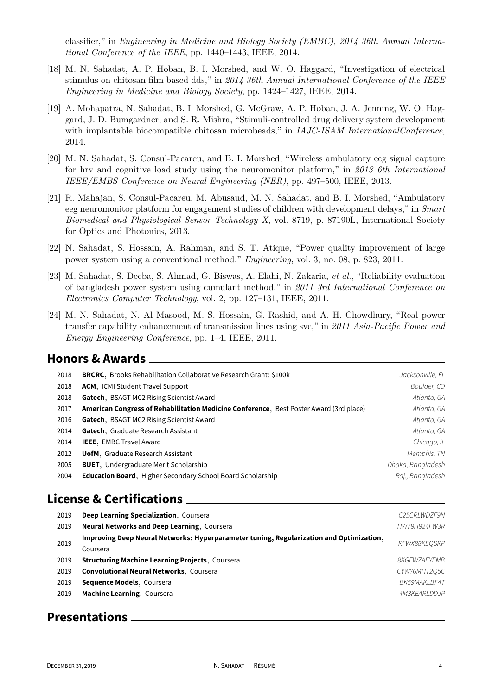classifier," in *Engineering in Medicine and Biology Society (EMBC), 2014 36th Annual International Conference of the IEEE*, pp. 1440–1443, IEEE, 2014.

- [18] M. N. Sahadat, A. P. Hoban, B. I. Morshed, and W. O. Haggard, "Investigation of electrical stimulus on chitosan film based dds," in *2014 36th Annual International Conference of the IEEE Engineering in Medicine and Biology Society*, pp. 1424–1427, IEEE, 2014.
- [19] A. Mohapatra, N. Sahadat, B. I. Morshed, G. McGraw, A. P. Hoban, J. A. Jenning, W. O. Haggard, J. D. Bumgardner, and S. R. Mishra, "Stimuli-controlled drug delivery system development with implantable biocompatible chitosan microbeads," in *IAJC-ISAM InternationalConference*, 2014.
- [20] M. N. Sahadat, S. Consul-Pacareu, and B. I. Morshed, "Wireless ambulatory ecg signal capture for hrv and cognitive load study using the neuromonitor platform," in *2013 6th International IEEE/EMBS Conference on Neural Engineering (NER)*, pp. 497–500, IEEE, 2013.
- [21] R. Mahajan, S. Consul-Pacareu, M. Abusaud, M. N. Sahadat, and B. I. Morshed, "Ambulatory eeg neuromonitor platform for engagement studies of children with development delays," in *Smart Biomedical and Physiological Sensor Technology X*, vol. 8719, p. 87190L, International Society for Optics and Photonics, 2013.
- [22] N. Sahadat, S. Hossain, A. Rahman, and S. T. Atique, "Power quality improvement of large power system using a conventional method," *Engineering*, vol. 3, no. 08, p. 823, 2011.
- [23] M. Sahadat, S. Deeba, S. Ahmad, G. Biswas, A. Elahi, N. Zakaria, *et al.*, "Reliability evaluation of bangladesh power system using cumulant method," in *2011 3rd International Conference on Electronics Computer Technology*, vol. 2, pp. 127–131, IEEE, 2011.
- [24] M. N. Sahadat, N. Al Masood, M. S. Hossain, G. Rashid, and A. H. Chowdhury, "Real power transfer capability enhancement of transmission lines using svc," in *2011 Asia-Pacific Power and Energy Engineering Conference*, pp. 1–4, IEEE, 2011.

#### **Honors & Awards**

| 2018 | <b>BRCRC</b> , Brooks Rehabilitation Collaborative Research Grant: \$100k              | Jacksonville, FL  |
|------|----------------------------------------------------------------------------------------|-------------------|
| 2018 | <b>ACM, ICMI Student Travel Support</b>                                                | Boulder, CO       |
| 2018 | Gatech, BSAGT MC2 Rising Scientist Award                                               | Atlanta, GA       |
| 2017 | American Congress of Rehabilitation Medicine Conference, Best Poster Award (3rd place) | Atlanta, GA       |
| 2016 | Gatech, BSAGT MC2 Rising Scientist Award                                               | Atlanta, GA       |
| 2014 | Gatech, Graduate Research Assistant                                                    | Atlanta, GA       |
| 2014 | <b>IEEE, EMBC Travel Award</b>                                                         | Chicago, IL       |
| 2012 | <b>UofM.</b> Graduate Research Assistant                                               | Memphis, TN       |
| 2005 | <b>BUET.</b> Undergraduate Merit Scholarship                                           | Dhaka, Bangladesh |
| 2004 | <b>Education Board</b> , Higher Secondary School Board Scholarship                     | Raj., Bangladesh  |
|      |                                                                                        |                   |

## **License & Certifications**

| 2019 | Deep Learning Specialization, Coursera                                                  | C25CRLWDZF9N               |
|------|-----------------------------------------------------------------------------------------|----------------------------|
| 2019 | Neural Networks and Deep Learning, Coursera                                             | HW79H924FW3R               |
| 2019 | Improving Deep Neural Networks: Hyperparameter tuning, Regularization and Optimization, | RFWX88KEOSRP               |
|      | Coursera                                                                                |                            |
| 2019 | <b>Structuring Machine Learning Projects, Courseral</b>                                 | <i><b>8KGEWZAEYEMB</b></i> |
| 2019 | <b>Convolutional Neural Networks, Coursera</b>                                          | CYWY6MHT205C               |
| 2019 | Sequence Models, Coursera                                                               | BK59MAKLBF4T               |
| 2019 | <b>Machine Learning, Coursera</b>                                                       | 4M3KEARLDDJP               |
|      |                                                                                         |                            |

### **Presentations**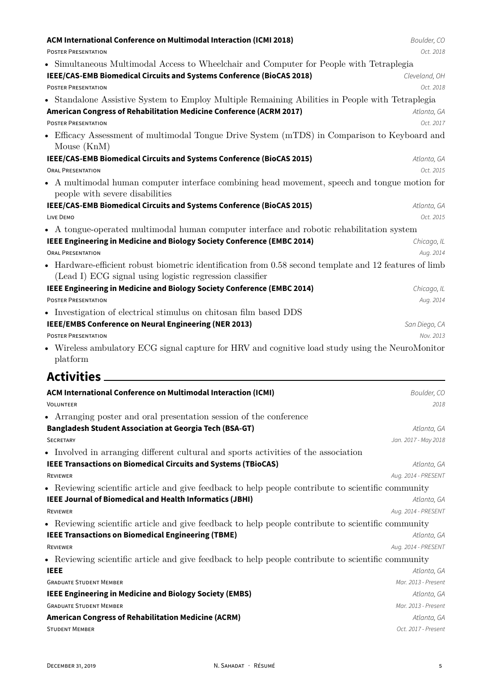| ACM International Conference on Multimodal Interaction (ICMI 2018)                                                                                                 | Boulder, CO                        |
|--------------------------------------------------------------------------------------------------------------------------------------------------------------------|------------------------------------|
| <b>POSTER PRESENTATION</b>                                                                                                                                         | Oct. 2018                          |
| • Simultaneous Multimodal Access to Wheelchair and Computer for People with Tetraplegia                                                                            |                                    |
| IEEE/CAS-EMB Biomedical Circuits and Systems Conference (BioCAS 2018)                                                                                              | Cleveland, OH                      |
| <b>POSTER PRESENTATION</b>                                                                                                                                         | Oct. 2018                          |
| • Standalone Assistive System to Employ Multiple Remaining Abilities in People with Tetraplegia                                                                    |                                    |
| American Congress of Rehabilitation Medicine Conference (ACRM 2017)                                                                                                | Atlanta, GA                        |
| <b>POSTER PRESENTATION</b>                                                                                                                                         | Oct. 2017                          |
| • Efficacy Assessment of multimodal Tongue Drive System (mTDS) in Comparison to Keyboard and<br>Mouse $(KnM)$                                                      |                                    |
| IEEE/CAS-EMB Biomedical Circuits and Systems Conference (BioCAS 2015)                                                                                              | Atlanta, GA                        |
| <b>ORAL PRESENTATION</b>                                                                                                                                           | Oct. 2015                          |
| • A multimodal human computer interface combining head movement, speech and tongue motion for<br>people with severe disabilities                                   |                                    |
| IEEE/CAS-EMB Biomedical Circuits and Systems Conference (BioCAS 2015)                                                                                              | Atlanta, GA                        |
| LIVE DEMO                                                                                                                                                          | Oct. 2015                          |
| • A tongue-operated multimodal human computer interface and robotic rehabilitation system                                                                          |                                    |
| IEEE Engineering in Medicine and Biology Society Conference (EMBC 2014)                                                                                            | Chicago, IL                        |
| <b>ORAL PRESENTATION</b>                                                                                                                                           | Aug. 2014                          |
| • Hardware-efficient robust biometric identification from 0.58 second template and 12 features of limb<br>(Lead I) ECG signal using logistic regression classifier |                                    |
| IEEE Engineering in Medicine and Biology Society Conference (EMBC 2014)                                                                                            | Chicago, IL                        |
| <b>POSTER PRESENTATION</b>                                                                                                                                         | Aug. 2014                          |
|                                                                                                                                                                    |                                    |
|                                                                                                                                                                    |                                    |
| • Investigation of electrical stimulus on chitosan film based DDS                                                                                                  |                                    |
| IEEE/EMBS Conference on Neural Engineering (NER 2013)<br><b>POSTER PRESENTATION</b>                                                                                | San Diego, CA<br>Nov. 2013         |
| • Wireless ambulatory ECG signal capture for HRV and cognitive load study using the NeuroMonitor<br>platform                                                       |                                    |
| <b>Activities</b>                                                                                                                                                  |                                    |
| ACM International Conference on Multimodal Interaction (ICMI)                                                                                                      | Boulder, CO                        |
| VOLUNTEER                                                                                                                                                          | 2018                               |
| • Arranging poster and oral presentation session of the conference                                                                                                 |                                    |
| <b>Bangladesh Student Association at Georgia Tech (BSA-GT)</b>                                                                                                     | Atlanta, GA                        |
| <b>SECRETARY</b>                                                                                                                                                   | Jan. 2017 - May 2018               |
| • Involved in arranging different cultural and sports activities of the association                                                                                |                                    |
| <b>IEEE Transactions on Biomedical Circuits and Systems (TBioCAS)</b>                                                                                              | Atlanta, GA                        |
| REVIEWER                                                                                                                                                           | Aug. 2014 - PRESENT                |
| • Reviewing scientific article and give feedback to help people contribute to scientific community                                                                 |                                    |
| <b>IEEE Journal of Biomedical and Health Informatics (JBHI)</b>                                                                                                    | Atlanta, GA                        |
| REVIEWER                                                                                                                                                           | Aug. 2014 - PRESENT                |
| • Reviewing scientific article and give feedback to help people contribute to scientific community                                                                 |                                    |
| <b>IEEE Transactions on Biomedical Engineering (TBME)</b>                                                                                                          | Atlanta, GA                        |
| REVIEWER                                                                                                                                                           | Aug. 2014 - PRESENT                |
| • Reviewing scientific article and give feedback to help people contribute to scientific community                                                                 |                                    |
| <b>IEEE</b>                                                                                                                                                        | Atlanta, GA                        |
| <b>GRADUATE STUDENT MEMBER</b>                                                                                                                                     | Mar. 2013 - Present                |
| <b>IEEE Engineering in Medicine and Biology Society (EMBS)</b><br><b>GRADUATE STUDENT MEMBER</b>                                                                   | Atlanta, GA                        |
|                                                                                                                                                                    | Mar. 2013 - Present                |
| <b>American Congress of Rehabilitation Medicine (ACRM)</b><br><b>STUDENT MEMBER</b>                                                                                | Atlanta, GA<br>Oct. 2017 - Present |